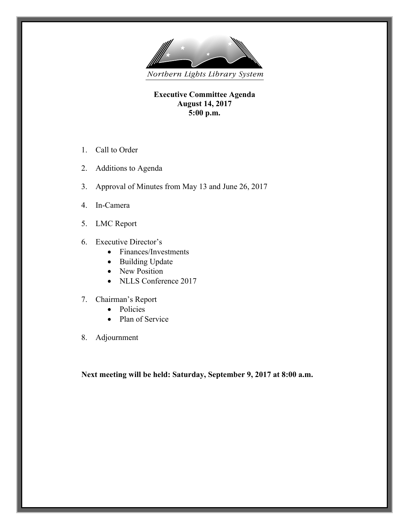

**Executive Committee Agenda August 14, 2017 5:00 p.m.**

- 1. Call to Order
- 2. Additions to Agenda
- 3. Approval of Minutes from May 13 and June 26, 2017
- 4. In-Camera
- 5. LMC Report
- 6. Executive Director's
	- Finances/Investments
	- Building Update
	- New Position
	- NLLS Conference 2017
- 7. Chairman's Report
	- Policies
	- Plan of Service
- 8. Adjournment

**Next meeting will be held: Saturday, September 9, 2017 at 8:00 a.m.**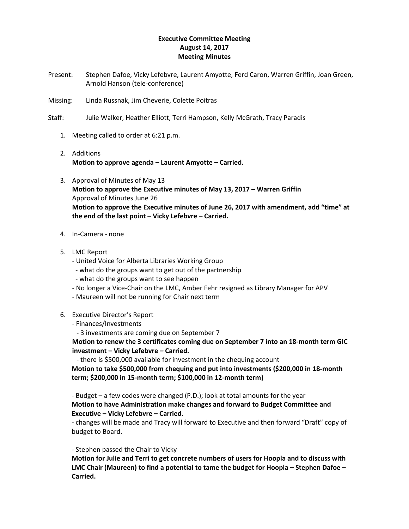#### **Executive Committee Meeting August 14, 2017 Meeting Minutes**

- Present: Stephen Dafoe, Vicky Lefebvre, Laurent Amyotte, Ferd Caron, Warren Griffin, Joan Green, Arnold Hanson (tele-conference)
- Missing: Linda Russnak, Jim Cheverie, Colette Poitras
- Staff: Julie Walker, Heather Elliott, Terri Hampson, Kelly McGrath, Tracy Paradis
	- 1. Meeting called to order at 6:21 p.m.
	- 2. Additions **Motion to approve agenda – Laurent Amyotte – Carried.**
	- 3. Approval of Minutes of May 13 **Motion to approve the Executive minutes of May 13, 2017 – Warren Griffin** Approval of Minutes June 26 **Motion to approve the Executive minutes of June 26, 2017 with amendment, add "time" at the end of the last point – Vicky Lefebvre – Carried.**
	- 4. In-Camera none
	- 5. LMC Report
		- United Voice for Alberta Libraries Working Group
		- what do the groups want to get out of the partnership
		- what do the groups want to see happen
		- No longer a Vice-Chair on the LMC, Amber Fehr resigned as Library Manager for APV
		- Maureen will not be running for Chair next term
	- 6. Executive Director's Report
		- Finances/Investments
			- 3 investments are coming due on September 7

**Motion to renew the 3 certificates coming due on September 7 into an 18-month term GIC investment – Vicky Lefebvre – Carried.**

- there is \$500,000 available for investment in the chequing account

**Motion to take \$500,000 from chequing and put into investments (\$200,000 in 18-month term; \$200,000 in 15-month term; \$100,000 in 12-month term)**

- Budget – a few codes were changed (P.D.); look at total amounts for the year **Motion to have Administration make changes and forward to Budget Committee and Executive – Vicky Lefebvre – Carried.**

- changes will be made and Tracy will forward to Executive and then forward "Draft" copy of budget to Board.

#### - Stephen passed the Chair to Vicky

**Motion for Julie and Terri to get concrete numbers of users for Hoopla and to discuss with LMC Chair (Maureen) to find a potential to tame the budget for Hoopla – Stephen Dafoe – Carried.**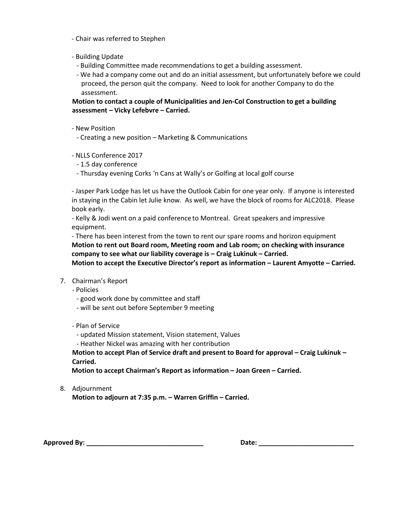- Chair was referred to Stephen
- Building Update
	- Building Committee made recommendations to get a building assessment.
	- We had a company come out and do an initial assessment, but unfortunately before we could proceed, the person quit the company. Need to look for another Company to do the assessment.

**Motion to contact a couple of Municipalities and Jen-Col Construction to get a building assessment – Vicky Lefebvre – Carried.**

- New Position
	- Creating a new position Marketing & Communications

- NLLS Conference 2017

- 1.5 day conference
- Thursday evening Corks 'n Cans at Wally's or Golfing at local golf course

- Jasper Park Lodge has let us have the Outlook Cabin for one year only. If anyone is interested in staying in the Cabin let Julie know. As well, we have the block of rooms for ALC2018. Please book early.

- Kelly & Jodi went on a paid conference to Montreal. Great speakers and impressive equipment.

- There has been interest from the town to rent our spare rooms and horizon equipment **Motion to rent out Board room, Meeting room and Lab room; on checking with insurance company to see what our liability coverage is – Craig Lukinuk – Carried.**

**Motion to accept the Executive Director's report as information – Laurent Amyotte – Carried.**

- 7. Chairman's Report
	- Policies
		- good work done by committee and staff
		- will be sent out before September 9 meeting

- Plan of Service

- updated Mission statement, Vision statement, Values
- Heather Nickel was amazing with her contribution

**Motion to accept Plan of Service draft and present to Board for approval – Craig Lukinuk – Carried.**

**Motion to accept Chairman's Report as information – Joan Green – Carried.**

8. Adjournment

**Motion to adjourn at 7:35 p.m. – Warren Griffin – Carried.**

**Approved By: \_\_\_\_\_\_\_\_\_\_\_\_\_\_\_\_\_\_\_\_\_\_\_\_\_\_\_\_\_\_\_\_ Date: \_\_\_\_\_\_\_\_\_\_\_\_\_\_\_\_\_\_\_\_\_\_\_\_\_\_**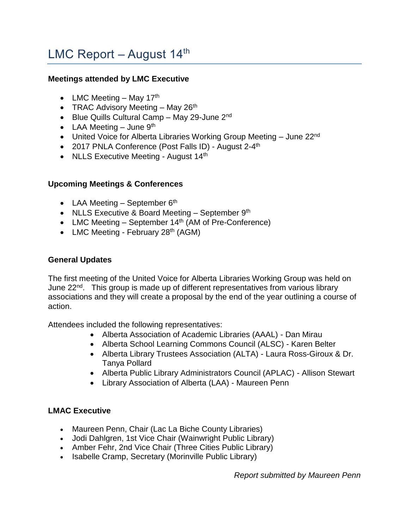# LMC Report – August  $14<sup>th</sup>$

#### **Meetings attended by LMC Executive**

- LMC Meeting May  $17<sup>th</sup>$
- TRAC Advisory Meeting  $-$  May 26<sup>th</sup>
- Blue Quills Cultural Camp May 29-June 2<sup>nd</sup>
- LAA Meeting  $-$  June  $9<sup>th</sup>$
- United Voice for Alberta Libraries Working Group Meeting June 22<sup>nd</sup>
- 2017 PNLA Conference (Post Falls ID) August 2-4<sup>th</sup>
- NLLS Executive Meeting August 14<sup>th</sup>

### **Upcoming Meetings & Conferences**

- LAA Meeting  $-$  September 6<sup>th</sup>
- NLLS Executive & Board Meeting  $-$  September 9<sup>th</sup>
- LMC Meeting  $-$  September 14<sup>th</sup> (AM of Pre-Conference)
- LMC Meeting February  $28<sup>th</sup>$  (AGM)

### **General Updates**

The first meeting of the United Voice for Alberta Libraries Working Group was held on June 22<sup>nd</sup>. This group is made up of different representatives from various library associations and they will create a proposal by the end of the year outlining a course of action.

Attendees included the following representatives:

- Alberta Association of Academic Libraries (AAAL) Dan Mirau
- Alberta School Learning Commons Council (ALSC) Karen Belter
- Alberta Library Trustees Association (ALTA) Laura Ross-Giroux & Dr. Tanya Pollard
- Alberta Public Library Administrators Council (APLAC) Allison Stewart
- Library Association of Alberta (LAA) Maureen Penn

## **LMAC Executive**

- Maureen Penn, Chair (Lac La Biche County Libraries)
- Jodi Dahlgren, 1st Vice Chair (Wainwright Public Library)
- Amber Fehr, 2nd Vice Chair (Three Cities Public Library)
- Isabelle Cramp, Secretary (Morinville Public Library)

*Report submitted by Maureen Penn*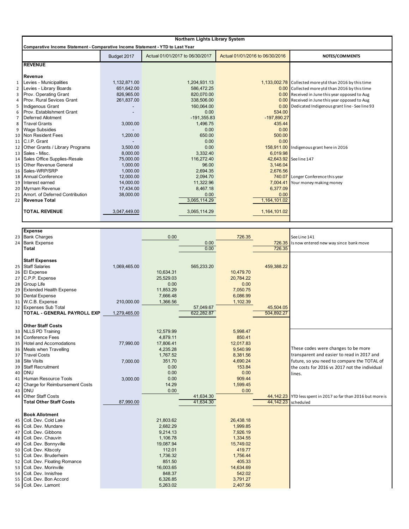|                | <b>Northern Lights Library System</b>                                          |              |                                 |                                 |                                                        |  |  |  |  |
|----------------|--------------------------------------------------------------------------------|--------------|---------------------------------|---------------------------------|--------------------------------------------------------|--|--|--|--|
|                | Comparative Income Statement - Comparative Income Statement - YTD to Last Year |              |                                 |                                 |                                                        |  |  |  |  |
|                | Budget 2017                                                                    |              | Actual 01/01/2017 to 06/30/2017 | Actual 01/01/2016 to 06/30/2016 | NOTES/COMMENTS                                         |  |  |  |  |
|                | <b>REVENUE</b>                                                                 |              |                                 |                                 |                                                        |  |  |  |  |
|                | Revenue                                                                        |              |                                 |                                 |                                                        |  |  |  |  |
| $\mathbf{1}$   | Levies - Municipalities                                                        | 1,132,871.00 | 1,204,931.13                    |                                 | 1,133,002.78 Collected more ytd than 2016 by this time |  |  |  |  |
| $\overline{2}$ | Levies - Library Boards                                                        | 651,642.00   | 586,472.25                      |                                 | 0.00 Collected more ytd than 2016 by this time         |  |  |  |  |
| 3              | Prov. Operating Grant                                                          | 826,965.00   | 820,070.00                      |                                 | 0.00 Received in June this year opposed to Aug         |  |  |  |  |
| 4              | Prov. Rural Sevices Grant                                                      | 261.837.00   | 338.506.00                      |                                 | 0.00 Received in June this year opposed to Aug         |  |  |  |  |
| 5              | <b>Indigenous Grant</b>                                                        |              | 160,064.00                      |                                 | 0.00 Dedicated Indigenous grant line - See line 93     |  |  |  |  |
| 6              | Prov. Establishment Grant                                                      |              | 0.00                            | 534.00                          |                                                        |  |  |  |  |
| $\overline{7}$ | <b>Deferred Allotment</b>                                                      |              | $-191,355.83$                   | $-197,890.27$                   |                                                        |  |  |  |  |
| 8              | <b>Travel Grants</b>                                                           | 3,000.00     | 1,496.75                        | 435.44                          |                                                        |  |  |  |  |
| 9              | <b>Wage Subsidies</b>                                                          |              | 0.00                            | 0.00                            |                                                        |  |  |  |  |
|                | 10 Non Resident Fees                                                           | 1,200.00     | 650.00                          | 500.00                          |                                                        |  |  |  |  |
|                | 11 C.I.P. Grant                                                                |              | 0.00                            | 0.00                            |                                                        |  |  |  |  |
|                | 12 Other Grants / Library Programs                                             | 3,500.00     | 0.00                            |                                 | 158,911.00 Indigenous grant here in 2016               |  |  |  |  |
|                | 13 Sales - Misc.                                                               | 8,000.00     | 3,332.40                        | 6,019.98                        |                                                        |  |  |  |  |
|                | 14 Sales Office Supplies-Resale                                                | 75.000.00    | 116.272.40                      |                                 | 42,643.92 See line 147                                 |  |  |  |  |
|                | 15 Other Revenue General                                                       | 1.000.00     | 96.00                           | 3,146.04                        |                                                        |  |  |  |  |
|                | 16   Sales-WRP/SRP                                                             | 1,000.00     | 2,694.35                        | 2,676.56                        |                                                        |  |  |  |  |
|                | 18 Annual Conference                                                           | 12,000.00    | 2,094.70                        |                                 | 740.07 Longer Conference this year                     |  |  |  |  |
|                | 19 Interest earned                                                             | 14.000.00    | 11,322.96                       | 7,004.41                        | Your money making money                                |  |  |  |  |
|                | 20 Myrnam Revenue                                                              | 17,434.00    | 8,467.18                        | 6,377.09                        |                                                        |  |  |  |  |
|                | 21 Amort. of Deferred Contribution                                             | 38,000.00    | 0.00                            | 0.00                            |                                                        |  |  |  |  |
| 22             | <b>Revenue Total</b>                                                           |              | 3,065,114.29                    | 1,164,101.02                    |                                                        |  |  |  |  |
|                | <b>TOTAL REVENUE</b>                                                           | 3,047,449.00 | 3,065,114.29                    | 1,164,101.02                    |                                                        |  |  |  |  |

|    | <b>Expense</b>                 |              |           |            |           |                     |                                                               |
|----|--------------------------------|--------------|-----------|------------|-----------|---------------------|---------------------------------------------------------------|
|    | 23 Bank Charges                |              | 0.00      |            | 726.35    |                     | See Line 141                                                  |
|    | 24 Bank Expense                |              |           | 0.00       |           |                     | 726.35 Is now entered new way since bank move                 |
|    | Total                          |              |           | 0.00       |           | 726.35              |                                                               |
|    |                                |              |           |            |           |                     |                                                               |
|    | <b>Staff Expenses</b>          |              |           |            |           |                     |                                                               |
|    | 25 Staff Salaries              | 1,069,465.00 |           | 565,233.20 |           | 459,388.22          |                                                               |
|    | 26 El Expense                  |              | 10,634.31 |            | 10,479.70 |                     |                                                               |
| 27 | C.P.P. Expense                 |              | 25,529.03 |            | 20,784.22 |                     |                                                               |
|    | 28 Group Life                  |              | 0.00      |            | 0.00      |                     |                                                               |
| 29 | <b>Extended Health Expense</b> |              | 11,853.29 |            | 7,050.75  |                     |                                                               |
| 30 | <b>Dental Expense</b>          |              | 7,666.48  |            | 6,086.99  |                     |                                                               |
|    | 31 W.C.B. Expense              | 210,000.00   | 1,366.56  |            | 1,102.39  |                     |                                                               |
|    | 32 Expenses Sub Total          |              |           | 57,049.67  |           | 45,504.05           |                                                               |
|    | TOTAL - GENERAL PAYROLL EXP    | 1,279,465.00 |           | 622,282.87 |           | 504,892.27          |                                                               |
|    |                                |              |           |            |           |                     |                                                               |
|    | <b>Other Staff Costs</b>       |              |           |            |           |                     |                                                               |
|    | 33 NLLS PD Training            |              | 12,579.99 |            | 5,998.47  |                     |                                                               |
| 34 | <b>Conference Fees</b>         |              | 4,879.11  |            | 850.41    |                     |                                                               |
|    | 35 Hotel and Accomodations     | 77,990.00    | 17,806.41 |            | 12,017.83 |                     |                                                               |
|    | 36 Meals when Travelling       |              | 4,235.28  |            | 9,540.99  |                     | These codes were changes to be more                           |
| 37 | <b>Travel Costs</b>            |              | 1,767.52  |            | 8,381.56  |                     | transparent and easier to read in 2017 and                    |
| 38 | <b>Site Visits</b>             | 7,000.00     | 351.70    |            | 4,690.24  |                     | future, so you need to compare the TOTAL of                   |
| 39 | <b>Staff Recruitment</b>       |              | 0.00      |            | 153.84    |                     | the costs for 2016 vs 2017 not the individual                 |
| 40 | <b>DNU</b>                     |              | 0.00      |            | 0.00      |                     | lines.                                                        |
| 41 | Human Resource Tools           | 3,000.00     | 0.00      |            | 909.44    |                     |                                                               |
| 42 | Charge for Reimbursement Costs |              | 14.29     |            | 1,599.45  |                     |                                                               |
| 43 | <b>DNU</b>                     |              | 0.00      |            | 0.00      |                     |                                                               |
| 44 | <b>Other Staff Costs</b>       |              |           | 41,634.30  |           |                     | 44,142.23 YTD less spent in 2017 so far than 2016 but more is |
|    | <b>Total Other Staff Costs</b> | 87,990.00    |           | 41,634.30  |           | 44,142.23 scheduled |                                                               |
|    |                                |              |           |            |           |                     |                                                               |
|    | <b>Book Allotment</b>          |              |           |            |           |                     |                                                               |
|    | 45 Coll. Dev. Cold Lake        |              | 21,803.62 |            | 26,438.18 |                     |                                                               |
| 46 | Coll. Dev. Mundare             |              | 2,682.29  |            | 1,999.85  |                     |                                                               |
| 47 | Coll. Dev. Gibbons             |              | 9,214.13  |            | 7,926.19  |                     |                                                               |
| 48 | Coll. Dev. Chauvin             |              | 1,106.78  |            | 1,334.55  |                     |                                                               |
| 49 | Coll. Dev. Bonnyville          |              | 19,087.94 |            | 15,749.02 |                     |                                                               |
| 50 | Coll. Dev. Kitscoty            |              | 112.01    |            | 419.77    |                     |                                                               |
|    | 51 Coll. Dev. Bruderheim       |              | 1,736.32  |            | 1,756.44  |                     |                                                               |
|    | 52 Coll. Dev. Floating Romance |              | 851.50    |            | 405.33    |                     |                                                               |
| 53 | Coll. Dev. Morinville          |              | 16.003.65 |            | 14,634.69 |                     |                                                               |
| 54 | Coll. Dev. Innisfree           |              | 848.37    |            | 542.02    |                     |                                                               |
|    | 55 Coll. Dev. Bon Accord       |              | 6,326.85  |            | 3,791.27  |                     |                                                               |
|    | 56 Coll. Dev. Lamont           |              | 5,263.02  |            | 2,407.56  |                     |                                                               |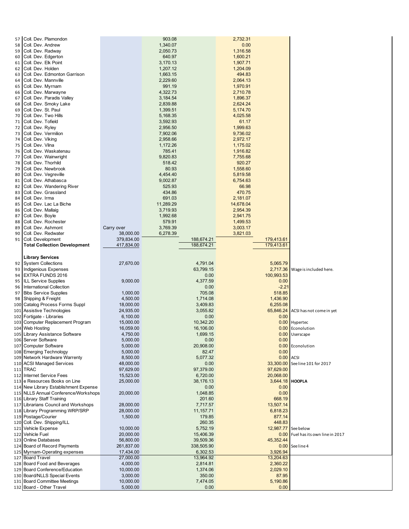| 57<br>58<br>59<br>60<br>61<br>62<br>63<br>64<br>65<br>66<br>67<br>68<br>69<br>70<br>71<br>72<br>73<br>74<br>75<br>76<br>77<br>78<br>79<br>80<br>81<br>82<br>83<br>84<br>85<br>86<br>87<br>88<br>89<br>90<br>91 | Coll. Dev. Plamondon<br>Coll. Dev. Andrew<br>Coll. Dev. Radway<br>Coll. Dev. Edgerton<br>Coll. Dev. Elk Point<br>Coll. Dev. Holden<br>Coll. Dev. Edmonton Garrison<br>Coll. Dev. Mannville<br>Coll. Dev. Myrnam<br>Coll. Dev. Marwayne<br>Coll. Dev. Paradis Valley<br>Coll. Dev. Smoky Lake<br>Coll. Dev. St. Paul<br>Coll. Dev. Two Hills<br>Coll. Dev. Tofield<br>Coll. Dev. Ryley<br>Coll. Dev. Vermilion<br>Coll. Dev. Viking<br>Coll. Dev. Vilna<br>Coll. Dev. Waskatenau<br>Coll. Dev. Wainwright<br>Coll. Dev. Thorhild<br>Coll. Dev. Newbrook<br>Coll. Dev. Vegreville<br>Coll. Dev. Athabasca<br>Coll. Dev. Wandering River<br>Coll. Dev. Grassland<br>Coll. Dev. Irma<br>Coll. Dev. Lac La Biche<br>Coll. Dev. Mallaig<br>Coll. Dev. Boyle<br>Coll. Dev. Rochester<br>Coll. Dev. Ashmont<br>Coll. Dev. Redwater<br>Coll. Development<br><b>Total Collection Development</b> | Carry over<br>38,000.00<br>379,834.00<br>417,834.00 | 903.08<br>1,340.07<br>2,050.73<br>640.97<br>3,170.13<br>1,207.12<br>1,663.15<br>2,229.60<br>991.19<br>4,322.73<br>3,184.54<br>2,839.88<br>1,399.51<br>5,168.35<br>3,592.93<br>2,956.50<br>7,902.06<br>2,958.66<br>1,172.26<br>785.41<br>9,820.83<br>518.42<br>80.93<br>4,454.40<br>9,002.87<br>525.93<br>434.86<br>691.03<br>11,289.29<br>3,719.93<br>1,992.68<br>579.91<br>3,769.39<br>6,278.39 | 188,674.21<br>188,674.21 | 2,732.31<br>0.00<br>1,316.58<br>1,600.21<br>1,907.71<br>1,204.09<br>494.83<br>2,064.13<br>1,970.91<br>2,710.78<br>1,896.37<br>2,624.24<br>5,174.70<br>4,025.58<br>61.17<br>1,999.63<br>9,736.02<br>2,972.17<br>1,175.02<br>1,916.82<br>7,755.68<br>920.27<br>1,558.60<br>5,819.58<br>6,754.63<br>66.98<br>470.75<br>2,181.07<br>14,678.04<br>2,954.39<br>2,941.75<br>1,499.53<br>3,003.17<br>3,821.03 | 179,413.61<br>179,413.61 |                                    |
|----------------------------------------------------------------------------------------------------------------------------------------------------------------------------------------------------------------|----------------------------------------------------------------------------------------------------------------------------------------------------------------------------------------------------------------------------------------------------------------------------------------------------------------------------------------------------------------------------------------------------------------------------------------------------------------------------------------------------------------------------------------------------------------------------------------------------------------------------------------------------------------------------------------------------------------------------------------------------------------------------------------------------------------------------------------------------------------------------------------|-----------------------------------------------------|--------------------------------------------------------------------------------------------------------------------------------------------------------------------------------------------------------------------------------------------------------------------------------------------------------------------------------------------------------------------------------------------------|--------------------------|-------------------------------------------------------------------------------------------------------------------------------------------------------------------------------------------------------------------------------------------------------------------------------------------------------------------------------------------------------------------------------------------------------|--------------------------|------------------------------------|
|                                                                                                                                                                                                                | <b>Library Services</b>                                                                                                                                                                                                                                                                                                                                                                                                                                                                                                                                                                                                                                                                                                                                                                                                                                                                |                                                     |                                                                                                                                                                                                                                                                                                                                                                                                  |                          |                                                                                                                                                                                                                                                                                                                                                                                                       |                          |                                    |
| 92                                                                                                                                                                                                             | <b>System Collections</b>                                                                                                                                                                                                                                                                                                                                                                                                                                                                                                                                                                                                                                                                                                                                                                                                                                                              | 27,670.00                                           |                                                                                                                                                                                                                                                                                                                                                                                                  | 4,791.04                 |                                                                                                                                                                                                                                                                                                                                                                                                       | 5,065.79                 |                                    |
| 93                                                                                                                                                                                                             | <b>Indigenious Expenses</b>                                                                                                                                                                                                                                                                                                                                                                                                                                                                                                                                                                                                                                                                                                                                                                                                                                                            |                                                     |                                                                                                                                                                                                                                                                                                                                                                                                  | 63,799.15                |                                                                                                                                                                                                                                                                                                                                                                                                       |                          | 2,717.36 Wage is included here.    |
| 94                                                                                                                                                                                                             | <b>EXTRA FUNDS 2016</b>                                                                                                                                                                                                                                                                                                                                                                                                                                                                                                                                                                                                                                                                                                                                                                                                                                                                |                                                     |                                                                                                                                                                                                                                                                                                                                                                                                  | 0.00                     |                                                                                                                                                                                                                                                                                                                                                                                                       | 100,993.53               |                                    |
| 95                                                                                                                                                                                                             | <b>ILL Service Supplies</b>                                                                                                                                                                                                                                                                                                                                                                                                                                                                                                                                                                                                                                                                                                                                                                                                                                                            | 9,000.00                                            |                                                                                                                                                                                                                                                                                                                                                                                                  | 4,377.59                 |                                                                                                                                                                                                                                                                                                                                                                                                       | 0.00                     |                                    |
| 96<br>97                                                                                                                                                                                                       | International Collection<br><b>Bibs Service Supplies</b>                                                                                                                                                                                                                                                                                                                                                                                                                                                                                                                                                                                                                                                                                                                                                                                                                               |                                                     |                                                                                                                                                                                                                                                                                                                                                                                                  | 0.00<br>705.08           |                                                                                                                                                                                                                                                                                                                                                                                                       | $-2.21$<br>518.85        |                                    |
| 98                                                                                                                                                                                                             | Shipping & Freight                                                                                                                                                                                                                                                                                                                                                                                                                                                                                                                                                                                                                                                                                                                                                                                                                                                                     | 1,000.00<br>4,500.00                                |                                                                                                                                                                                                                                                                                                                                                                                                  | 1,714.08                 |                                                                                                                                                                                                                                                                                                                                                                                                       | 1,436.90                 |                                    |
| 100                                                                                                                                                                                                            | Catalog Process Forms Suppl                                                                                                                                                                                                                                                                                                                                                                                                                                                                                                                                                                                                                                                                                                                                                                                                                                                            | 18,000.00                                           |                                                                                                                                                                                                                                                                                                                                                                                                  | 3,409.83                 |                                                                                                                                                                                                                                                                                                                                                                                                       | 6,255.08                 |                                    |
| 101                                                                                                                                                                                                            | Assistive Technologies                                                                                                                                                                                                                                                                                                                                                                                                                                                                                                                                                                                                                                                                                                                                                                                                                                                                 | 24,935.00                                           |                                                                                                                                                                                                                                                                                                                                                                                                  | 3,055.82                 |                                                                                                                                                                                                                                                                                                                                                                                                       |                          | 65,846.24 ACSI has not come in yet |
| 102                                                                                                                                                                                                            | Fortigate - Libraries                                                                                                                                                                                                                                                                                                                                                                                                                                                                                                                                                                                                                                                                                                                                                                                                                                                                  | 6,100.00                                            |                                                                                                                                                                                                                                                                                                                                                                                                  | 0.00                     |                                                                                                                                                                                                                                                                                                                                                                                                       | 0.00                     |                                    |
| 103                                                                                                                                                                                                            | Computer Replacement Program                                                                                                                                                                                                                                                                                                                                                                                                                                                                                                                                                                                                                                                                                                                                                                                                                                                           | 15,000.00                                           |                                                                                                                                                                                                                                                                                                                                                                                                  | 10,342.20                |                                                                                                                                                                                                                                                                                                                                                                                                       |                          | 0.00 Hypertec                      |
| 104                                                                                                                                                                                                            | <b>Web Hosting</b>                                                                                                                                                                                                                                                                                                                                                                                                                                                                                                                                                                                                                                                                                                                                                                                                                                                                     | 16,059.00                                           |                                                                                                                                                                                                                                                                                                                                                                                                  | 16,106.00                |                                                                                                                                                                                                                                                                                                                                                                                                       |                          | 0.00 Econolution                   |
|                                                                                                                                                                                                                | 105 Library Assistance Software<br>106 Server Software                                                                                                                                                                                                                                                                                                                                                                                                                                                                                                                                                                                                                                                                                                                                                                                                                                 | 4,750.00<br>5,000.00                                |                                                                                                                                                                                                                                                                                                                                                                                                  | 1,699.15<br>0.00         |                                                                                                                                                                                                                                                                                                                                                                                                       | 0.00                     | 0.00 Userscape                     |
|                                                                                                                                                                                                                | 107 Computer Software                                                                                                                                                                                                                                                                                                                                                                                                                                                                                                                                                                                                                                                                                                                                                                                                                                                                  | 5,000.00                                            |                                                                                                                                                                                                                                                                                                                                                                                                  | 20,908.00                |                                                                                                                                                                                                                                                                                                                                                                                                       |                          | 0.00 Econolution                   |
|                                                                                                                                                                                                                | 108 Emerging Technology                                                                                                                                                                                                                                                                                                                                                                                                                                                                                                                                                                                                                                                                                                                                                                                                                                                                | 5,000.00                                            |                                                                                                                                                                                                                                                                                                                                                                                                  | 82.47                    |                                                                                                                                                                                                                                                                                                                                                                                                       | 0.00                     |                                    |
|                                                                                                                                                                                                                | 109 Network Hardware Warrenty                                                                                                                                                                                                                                                                                                                                                                                                                                                                                                                                                                                                                                                                                                                                                                                                                                                          | 8,500.00                                            |                                                                                                                                                                                                                                                                                                                                                                                                  | 5,077.32                 |                                                                                                                                                                                                                                                                                                                                                                                                       | $0.00$ ACSI              |                                    |
|                                                                                                                                                                                                                | 110 ACSI Managed Services                                                                                                                                                                                                                                                                                                                                                                                                                                                                                                                                                                                                                                                                                                                                                                                                                                                              | 48,000.00                                           |                                                                                                                                                                                                                                                                                                                                                                                                  | 0.00                     |                                                                                                                                                                                                                                                                                                                                                                                                       |                          | 33,300.00 See line 101 for 2017    |
|                                                                                                                                                                                                                | 111 TRAC<br>112 Internet Service Fees                                                                                                                                                                                                                                                                                                                                                                                                                                                                                                                                                                                                                                                                                                                                                                                                                                                  | 97,629.00<br>15,523.00                              |                                                                                                                                                                                                                                                                                                                                                                                                  | 97,379.00                |                                                                                                                                                                                                                                                                                                                                                                                                       | 97,629.00<br>20,068.00   |                                    |
|                                                                                                                                                                                                                | 113 e Resources Books on Line                                                                                                                                                                                                                                                                                                                                                                                                                                                                                                                                                                                                                                                                                                                                                                                                                                                          | 25,000.00                                           |                                                                                                                                                                                                                                                                                                                                                                                                  | 6,720.00<br>38,176.13    |                                                                                                                                                                                                                                                                                                                                                                                                       | 3,644.18 HOOPLA          |                                    |
|                                                                                                                                                                                                                | 114 New Library Establishment Expense                                                                                                                                                                                                                                                                                                                                                                                                                                                                                                                                                                                                                                                                                                                                                                                                                                                  |                                                     |                                                                                                                                                                                                                                                                                                                                                                                                  | 0.00                     |                                                                                                                                                                                                                                                                                                                                                                                                       | 0.00                     |                                    |
|                                                                                                                                                                                                                | 115 NLLS Annual Conference/Workshops                                                                                                                                                                                                                                                                                                                                                                                                                                                                                                                                                                                                                                                                                                                                                                                                                                                   | 20,000.00                                           |                                                                                                                                                                                                                                                                                                                                                                                                  | 1,048.85                 |                                                                                                                                                                                                                                                                                                                                                                                                       | 0.00                     |                                    |
|                                                                                                                                                                                                                | 116 Library Staff Training                                                                                                                                                                                                                                                                                                                                                                                                                                                                                                                                                                                                                                                                                                                                                                                                                                                             |                                                     |                                                                                                                                                                                                                                                                                                                                                                                                  | 201.60                   |                                                                                                                                                                                                                                                                                                                                                                                                       | 668.19                   |                                    |
|                                                                                                                                                                                                                | 117 Librarians Council and Workshops                                                                                                                                                                                                                                                                                                                                                                                                                                                                                                                                                                                                                                                                                                                                                                                                                                                   | 28,000.00                                           |                                                                                                                                                                                                                                                                                                                                                                                                  | 7,717.57                 |                                                                                                                                                                                                                                                                                                                                                                                                       | 13,507.14                |                                    |
|                                                                                                                                                                                                                | 118 Library Programming WRP/SRP<br>119 Postage/Courier                                                                                                                                                                                                                                                                                                                                                                                                                                                                                                                                                                                                                                                                                                                                                                                                                                 | 28,000.00<br>1,500.00                               |                                                                                                                                                                                                                                                                                                                                                                                                  | 11,157.71<br>179.85      |                                                                                                                                                                                                                                                                                                                                                                                                       | 6,818.23<br>877.14       |                                    |
|                                                                                                                                                                                                                | 120 Coll. Dev. Shipping/ILL                                                                                                                                                                                                                                                                                                                                                                                                                                                                                                                                                                                                                                                                                                                                                                                                                                                            |                                                     |                                                                                                                                                                                                                                                                                                                                                                                                  | 260.35                   |                                                                                                                                                                                                                                                                                                                                                                                                       | 448.83                   |                                    |
| 121                                                                                                                                                                                                            | Vehicle Expense                                                                                                                                                                                                                                                                                                                                                                                                                                                                                                                                                                                                                                                                                                                                                                                                                                                                        | 10,000.00                                           |                                                                                                                                                                                                                                                                                                                                                                                                  | 5,752.19                 |                                                                                                                                                                                                                                                                                                                                                                                                       | 12,987.77 See below      |                                    |
|                                                                                                                                                                                                                | 122 Vehicle Fuel                                                                                                                                                                                                                                                                                                                                                                                                                                                                                                                                                                                                                                                                                                                                                                                                                                                                       | 20,000.00                                           |                                                                                                                                                                                                                                                                                                                                                                                                  | 15,406.39                |                                                                                                                                                                                                                                                                                                                                                                                                       |                          | 0.00 Fuel has its own line in 2017 |
| 123                                                                                                                                                                                                            | <b>Online Databases</b>                                                                                                                                                                                                                                                                                                                                                                                                                                                                                                                                                                                                                                                                                                                                                                                                                                                                | 56,800.00                                           |                                                                                                                                                                                                                                                                                                                                                                                                  | 39,509.36                |                                                                                                                                                                                                                                                                                                                                                                                                       | 45,352.44                |                                    |
|                                                                                                                                                                                                                | 124 Board of Record Payments                                                                                                                                                                                                                                                                                                                                                                                                                                                                                                                                                                                                                                                                                                                                                                                                                                                           | 261,837.00                                          |                                                                                                                                                                                                                                                                                                                                                                                                  | 338,505.90               |                                                                                                                                                                                                                                                                                                                                                                                                       |                          | 0.00 See line 4                    |
| 125                                                                                                                                                                                                            | Myrnam-Operating expenses<br>127 Board Travel                                                                                                                                                                                                                                                                                                                                                                                                                                                                                                                                                                                                                                                                                                                                                                                                                                          | 17,434.00<br>27,000.00                              |                                                                                                                                                                                                                                                                                                                                                                                                  | 6,302.53<br>13,964.92    |                                                                                                                                                                                                                                                                                                                                                                                                       | 3,926.94<br>13,204.63    |                                    |
|                                                                                                                                                                                                                | 128 Board Food and Beverages                                                                                                                                                                                                                                                                                                                                                                                                                                                                                                                                                                                                                                                                                                                                                                                                                                                           | 4,000.00                                            |                                                                                                                                                                                                                                                                                                                                                                                                  | 2,814.81                 |                                                                                                                                                                                                                                                                                                                                                                                                       | 2,360.22                 |                                    |
|                                                                                                                                                                                                                | 129 Board Conference/Education                                                                                                                                                                                                                                                                                                                                                                                                                                                                                                                                                                                                                                                                                                                                                                                                                                                         | 10,000.00                                           |                                                                                                                                                                                                                                                                                                                                                                                                  | 1,374.06                 |                                                                                                                                                                                                                                                                                                                                                                                                       | 2,029.10                 |                                    |
|                                                                                                                                                                                                                | 130 Board/NLLS Special Events                                                                                                                                                                                                                                                                                                                                                                                                                                                                                                                                                                                                                                                                                                                                                                                                                                                          | 3,000.00                                            |                                                                                                                                                                                                                                                                                                                                                                                                  | 350.00                   |                                                                                                                                                                                                                                                                                                                                                                                                       | 87.95                    |                                    |
|                                                                                                                                                                                                                | 131 Board Committee Meetings                                                                                                                                                                                                                                                                                                                                                                                                                                                                                                                                                                                                                                                                                                                                                                                                                                                           | 10,000.00                                           |                                                                                                                                                                                                                                                                                                                                                                                                  | 7,474.05                 |                                                                                                                                                                                                                                                                                                                                                                                                       | 5,190.86                 |                                    |
|                                                                                                                                                                                                                | 132 Board - Other Travel                                                                                                                                                                                                                                                                                                                                                                                                                                                                                                                                                                                                                                                                                                                                                                                                                                                               | 5,000.00                                            |                                                                                                                                                                                                                                                                                                                                                                                                  | 0.00                     |                                                                                                                                                                                                                                                                                                                                                                                                       | 0.00                     |                                    |